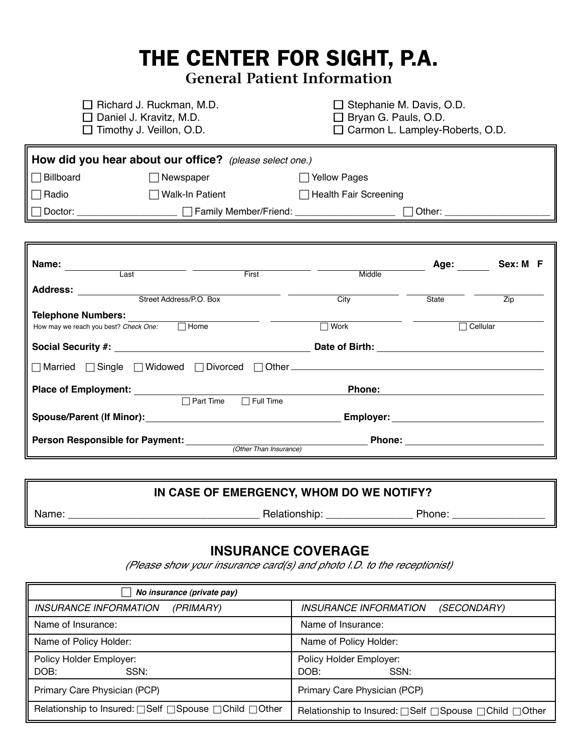# THE CENTER FOR SIGHT, P.A. **General Patient Information**

 **How did you hear about our office?** *(please select one.)*  □ Billboard □ Newspaper □ Yellow Pages □ Radio **National Health Fair Screening** Walk-In Patient **Health Fair Screening**  Doctor: \_\_\_\_\_\_\_\_\_\_\_\_\_\_\_\_\_\_\_ Family Member/Friend: \_\_\_\_\_\_\_\_\_\_\_\_\_\_\_\_\_\_\_ Other: \_\_\_\_\_\_\_\_\_\_\_\_\_\_\_\_\_\_\_\_ □ Richard J. Ruckman, M.D. <br>□ Stephanie M. Davis, O.D.  $\Box$  Daniel J. Kravitz, M.D.  $\Box$  Bryan G. Pauls, O.D.  $\Box$  Timothy J. Veillon, O.D.  $\Box$  Carmon L. Lampley-F  $\Box$  Carmon L. Lampley-Roberts, O.D. **Name: Age: Sex: M F** 

| Last                                                 | First                  | Middle                                                                                                                                                                                                                               |       |          |
|------------------------------------------------------|------------------------|--------------------------------------------------------------------------------------------------------------------------------------------------------------------------------------------------------------------------------------|-------|----------|
| <b>Address:</b><br>Street Address/P.O. Box           |                        | City                                                                                                                                                                                                                                 | State | Zip      |
| <b>Telephone Numbers:</b>                            |                        |                                                                                                                                                                                                                                      |       |          |
| $\Box$ Home<br>How may we reach you best? Check One: |                        | $\Box$ Work                                                                                                                                                                                                                          |       | Cellular |
|                                                      |                        | Date of Birth:                                                                                                                                                                                                                       |       |          |
|                                                      |                        |                                                                                                                                                                                                                                      |       |          |
| <b>Place of Employment:</b>                          |                        | <b>Phone:</b>                                                                                                                                                                                                                        |       |          |
| $\Box$ Part Time                                     | $\Box$ Full Time       |                                                                                                                                                                                                                                      |       |          |
|                                                      |                        | Employer: <u>compare and the set of the set of the set of the set of the set of the set of the set of the set of the set of the set of the set of the set of the set of the set of the set of the set of the set of the set of t</u> |       |          |
| <b>Person Responsible for Payment:</b>               |                        | <b>Phone:</b>                                                                                                                                                                                                                        |       |          |
|                                                      | (Other Than Insurance) |                                                                                                                                                                                                                                      |       |          |

#### **IN CASE OF EMERGENCY, WHOM DO WE NOTIFY?**

I

Name: \_\_\_\_\_\_\_\_\_\_\_\_\_\_\_\_\_\_\_\_\_\_\_\_\_\_\_\_\_\_\_\_\_ Relationship: \_\_\_\_\_\_\_\_\_\_\_\_\_\_\_ Phone: \_\_\_\_\_\_\_\_\_\_\_\_\_\_\_\_

### **INSURANCE COVERAGE**

*(Please show your insurance card(s) and photo I.D. to the receptionist)* 

| No insurance (private pay)                           |                                                          |
|------------------------------------------------------|----------------------------------------------------------|
| <i><b>INSURANCE INFORMATION</b></i><br>(PRIMARY)     | <i><b>INSURANCE INFORMATION</b></i><br>(SECONDARY)       |
| Name of Insurance:                                   | Name of Insurance:                                       |
| Name of Policy Holder:                               | Name of Policy Holder:                                   |
| Policy Holder Employer:                              | Policy Holder Employer:                                  |
| DOB:<br>SSN:                                         | DOB:<br>SSN:                                             |
| Primary Care Physician (PCP)                         | Primary Care Physician (PCP)                             |
| Relationship to Insured: □Self □Spouse □Child □Other | Relationship to Insured: □ Self □ Spouse □ Child □ Other |